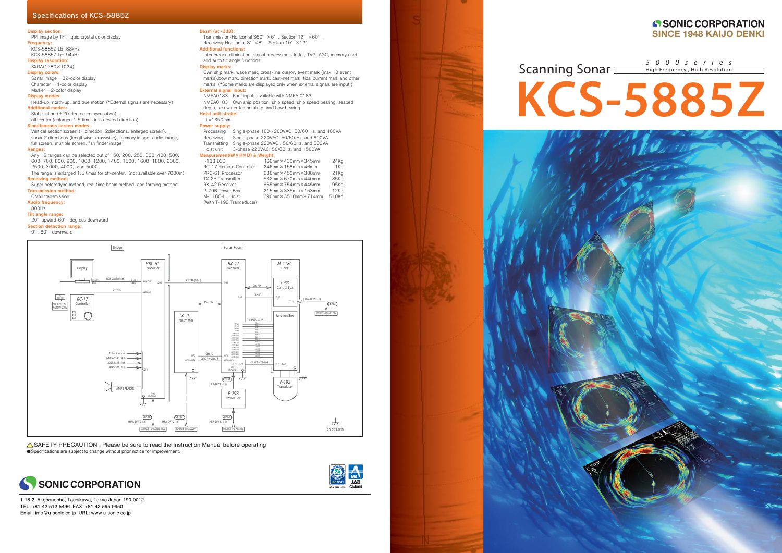### Display section:

PPI image by TFT liquid crystal color display **Frequency** 

- KCS-5885Z Lb: 88kHz KCS-5885Z Lc: 94kHz
- Display resolution:
- SXGA(1280×1024)

Display colors:

Sonar image ─32-color display Character ─4-color display

### Marker -2-color display

Display modes:

Head-up, north-up, and true motion (\*External signals are necessary) Additional modes:

Stabilization (±20-degree compensation), off-center (enlarged 1.5 times in a desired direction)

The range is enlarged 1.5 times for off-center. (not available over 7000m) Receiving method:

### Simultaneous screen modes:

Vertical section screen (1 direction, 2directions, enlarged screen), sonar 2 directions (lengthwise, crosswise), memory image, audio image, full screen, multiple screen, fish finder image

### Ranges:

Any 15 ranges can be selected out of 150, 200, 250, 300, 400, 500, 600, 700, 800, 900, 1000, 1200, 1400, 1500, 1600, 1800, 2000, 2500, 3000, 4000, and 5000.

Super heterodyne method, real-time beam method, and forming method Transmission method:

OMNI transmission

Audio frequency:

800Hz

Tilt angle range:

- 20°upward-60° degrees downward
- Section detection range:

0°-60° downward

### Transmission-Horizontal 360° ×6°, Section 12° ×60° Receiving-Horizontal 8° × 8°, Section 10° × 12° Additional functions:Interference elimination, signal processing, clutter, TVG, AGC, memory card, and auto tilt angle functions Display marks: Own ship mark, wake mark, cross-line cursor, event mark (max.10 event marks),bow mark, direction mark, cast-net mark, tidal current mark and other marks. (\*Some marks are displayed only when external signals are input.) External signal input: NMEA0183 Four inputs available with NMEA 0183. NMEA0183 Own ship position, ship speed, ship speed bearing, seabed depth, sea water temperature, and bow bearing Hoist unit stroke: LL=1350mmPower supply: Processing Single-phase 100~200VAC, 50/60 Hz, and 400VA Receiving Single-phase 220VAC, 50/60 Hz, and 600VA Transmitting Single-phase 220VAC , 50/60Hz, and 500VA Hoist unit 3-phase 220VAC, 50/60Hz, and 1500VA Measurement(W×H×D) & Weight:<br>I-133 LCD 460m I-133 LCD 460mm×430mm×345mm 24Kg RC-17 Remote Controller 246mm×158mm×46mm 1Kg PRC-61 Processor 280mm×450mm×388mm 21Kg TX-25 Transmitter 532mm×670mm×440mm 85Kg RX-42 Receiver 665mm×754mm×445mm 95Kg P-79B Power Box 215mm×335mm×153mm 12Kg

Beam (at -3dB):

### SONIC CORPORATION **SINCE 1948 KAIJO DENKI**

**ASAFETY PRECAUTION** : Please be sure to read the Instruction Manual before operating Specifications are subject to change without prior notice for improvement.



 $\frac{1}{2}$  and  $\frac{1}{2}$ 

1-18-2, Akebonocho, Tachikawa, Tokyo Japan 190-0012 TEL: +81-42-512-5496 FAX: +81-42-595-9950 Email: info@u-sonic.co.jp URL: www.u-sonic.co.jp

M-118C-LL Hoist 690mm×3510mm×714mm 510Kg

(With T-192 Tranceducer)